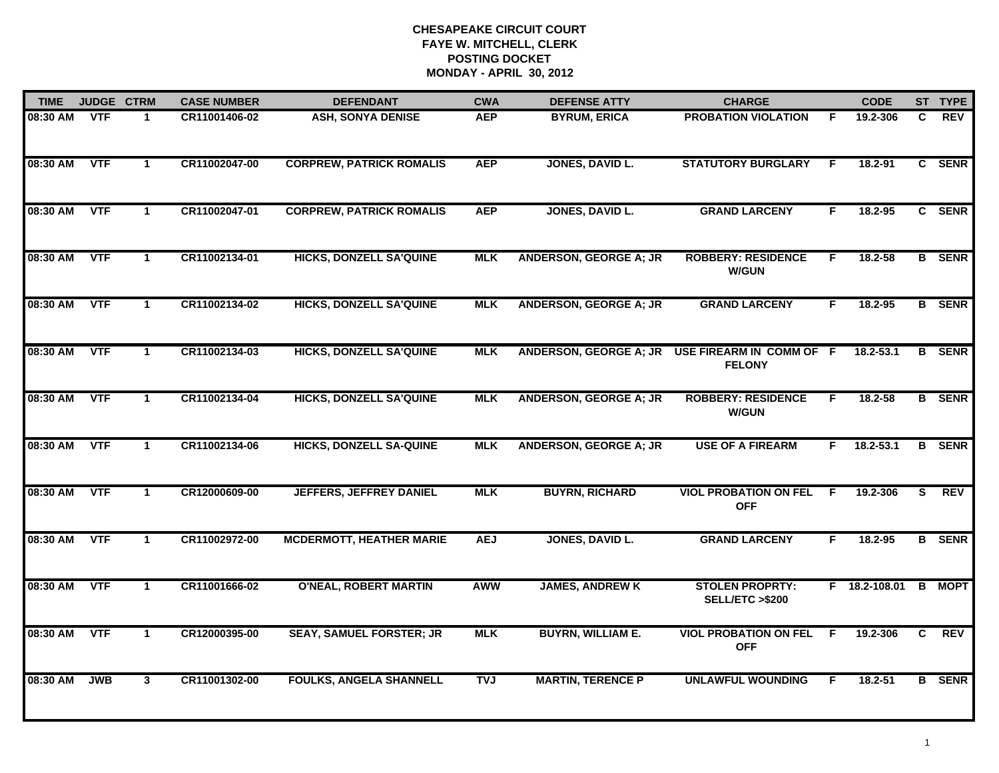| <b>TIME</b> | JUDGE CTRM |                      | <b>CASE NUMBER</b> | <b>DEFENDANT</b>                | <b>CWA</b> | <b>DEFENSE ATTY</b>           | <b>CHARGE</b>                                       |    | <b>CODE</b>     |    | ST TYPE       |
|-------------|------------|----------------------|--------------------|---------------------------------|------------|-------------------------------|-----------------------------------------------------|----|-----------------|----|---------------|
| 08:30 AM    | <b>VTF</b> | 1                    | CR11001406-02      | <b>ASH, SONYA DENISE</b>        | <b>AEP</b> | <b>BYRUM, ERICA</b>           | <b>PROBATION VIOLATION</b>                          | E  | 19.2-306        | C. | <b>REV</b>    |
| 08:30 AM    | <b>VTF</b> | $\blacktriangleleft$ | CR11002047-00      | <b>CORPREW, PATRICK ROMALIS</b> | <b>AEP</b> | JONES, DAVID L.               | <b>STATUTORY BURGLARY</b>                           | -F | 18.2-91         |    | C SENR        |
| 08:30 AM    | <b>VTF</b> | 1                    | CR11002047-01      | <b>CORPREW, PATRICK ROMALIS</b> | <b>AEP</b> | JONES, DAVID L.               | <b>GRAND LARCENY</b>                                | F  | 18.2-95         |    | C SENR        |
| 08:30 AM    | <b>VTF</b> | $\mathbf{1}$         | CR11002134-01      | <b>HICKS, DONZELL SA'QUINE</b>  | <b>MLK</b> | <b>ANDERSON, GEORGE A; JR</b> | <b>ROBBERY: RESIDENCE</b><br><b>W/GUN</b>           | F. | $18.2 - 58$     |    | <b>B</b> SENR |
| 08:30 AM    | <b>VTF</b> | $\mathbf 1$          | CR11002134-02      | <b>HICKS, DONZELL SA'QUINE</b>  | <b>MLK</b> | <b>ANDERSON, GEORGE A; JR</b> | <b>GRAND LARCENY</b>                                | F. | 18.2-95         |    | <b>B</b> SENR |
| 08:30 AM    | <b>VTF</b> | $\mathbf 1$          | CR11002134-03      | <b>HICKS, DONZELL SA'QUINE</b>  | <b>MLK</b> | <b>ANDERSON, GEORGE A; JR</b> | USE FIREARM IN COMM OF F<br><b>FELONY</b>           |    | 18.2-53.1       |    | <b>B</b> SENR |
| 08:30 AM    | <b>VTF</b> | $\mathbf{1}$         | CR11002134-04      | <b>HICKS, DONZELL SA'QUINE</b>  | <b>MLK</b> | <b>ANDERSON, GEORGE A; JR</b> | <b>ROBBERY: RESIDENCE</b><br><b>W/GUN</b>           | F. | 18.2-58         |    | <b>B</b> SENR |
| 08:30 AM    | <b>VTF</b> | $\mathbf{1}$         | CR11002134-06      | <b>HICKS, DONZELL SA-QUINE</b>  | <b>MLK</b> | <b>ANDERSON, GEORGE A; JR</b> | <b>USE OF A FIREARM</b>                             | F  | 18.2-53.1       |    | <b>B</b> SENR |
| 08:30 AM    | <b>VTF</b> | 1                    | CR12000609-00      | <b>JEFFERS, JEFFREY DANIEL</b>  | <b>MLK</b> | <b>BUYRN, RICHARD</b>         | <b>VIOL PROBATION ON FEL</b><br><b>OFF</b>          | -F | 19.2-306        | S  | <b>REV</b>    |
| 08:30 AM    | <b>VTF</b> | $\mathbf{1}$         | CR11002972-00      | <b>MCDERMOTT, HEATHER MARIE</b> | <b>AEJ</b> | JONES, DAVID L.               | <b>GRAND LARCENY</b>                                | F  | 18.2-95         |    | <b>B</b> SENR |
| 08:30 AM    | <b>VTF</b> | $\mathbf 1$          | CR11001666-02      | <b>O'NEAL, ROBERT MARTIN</b>    | <b>AWW</b> | <b>JAMES, ANDREW K</b>        | <b>STOLEN PROPRTY:</b><br><b>SELL/ETC &gt;\$200</b> |    | $F$ 18.2-108.01 |    | <b>B</b> MOPT |
| 08:30 AM    | <b>VTF</b> | $\mathbf{1}$         | CR12000395-00      | <b>SEAY, SAMUEL FORSTER; JR</b> | <b>MLK</b> | <b>BUYRN, WILLIAM E.</b>      | <b>VIOL PROBATION ON FEL</b><br><b>OFF</b>          | -F | 19.2-306        | C  | <b>REV</b>    |
| 08:30 AM    | <b>JWB</b> | $\mathbf{3}$         | CR11001302-00      | <b>FOULKS, ANGELA SHANNELL</b>  | <b>TVJ</b> | <b>MARTIN, TERENCE P</b>      | <b>UNLAWFUL WOUNDING</b>                            | F  | 18.2-51         |    | <b>B</b> SENR |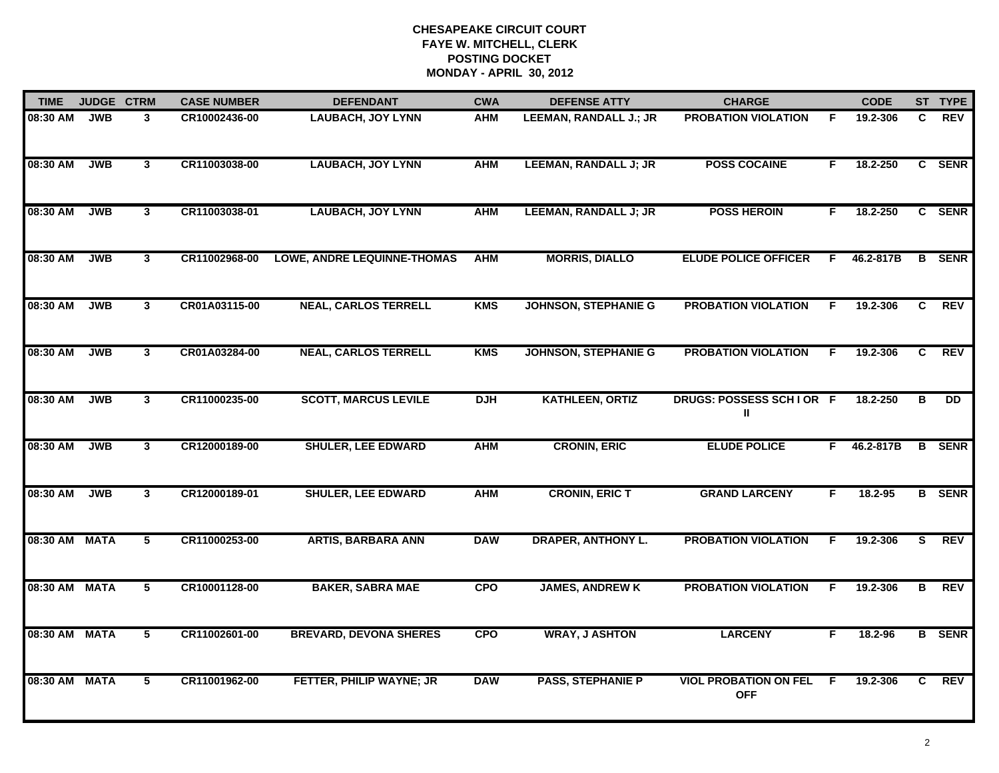| <b>TIME</b>   | <b>JUDGE CTRM</b> |                         | <b>CASE NUMBER</b> | <b>DEFENDANT</b>                   | <b>CWA</b> | <b>DEFENSE ATTY</b>          | <b>CHARGE</b>                              |    | <b>CODE</b> |    | ST TYPE         |
|---------------|-------------------|-------------------------|--------------------|------------------------------------|------------|------------------------------|--------------------------------------------|----|-------------|----|-----------------|
| 08:30 AM      | <b>JWB</b>        | 3                       | CR10002436-00      | <b>LAUBACH, JOY LYNN</b>           | <b>AHM</b> | LEEMAN, RANDALL J.; JR       | <b>PROBATION VIOLATION</b>                 | F  | 19.2-306    | C  | <b>REV</b>      |
| 08:30 AM      | <b>JWB</b>        | $\mathbf{3}$            | CR11003038-00      | <b>LAUBACH, JOY LYNN</b>           | <b>AHM</b> | <b>LEEMAN, RANDALL J; JR</b> | <b>POSS COCAINE</b>                        | F  | 18.2-250    |    | C SENR          |
| 08:30 AM      | <b>JWB</b>        | $\overline{\mathbf{3}}$ | CR11003038-01      | <b>LAUBACH, JOY LYNN</b>           | <b>AHM</b> | <b>LEEMAN, RANDALL J; JR</b> | <b>POSS HEROIN</b>                         | F. | 18.2-250    |    | C SENR          |
| 08:30 AM      | <b>JWB</b>        | 3 <sup>1</sup>          | CR11002968-00      | <b>LOWE, ANDRE LEQUINNE-THOMAS</b> | <b>AHM</b> | <b>MORRIS, DIALLO</b>        | <b>ELUDE POLICE OFFICER</b>                | F  | 46.2-817B   | B  | <b>SENR</b>     |
| 08:30 AM      | <b>JWB</b>        | 3                       | CR01A03115-00      | <b>NEAL, CARLOS TERRELL</b>        | <b>KMS</b> | <b>JOHNSON, STEPHANIE G</b>  | <b>PROBATION VIOLATION</b>                 | F. | 19.2-306    | C. | <b>REV</b>      |
| 08:30 AM      | <b>JWB</b>        | 3                       | CR01A03284-00      | <b>NEAL, CARLOS TERRELL</b>        | <b>KMS</b> | <b>JOHNSON, STEPHANIE G</b>  | <b>PROBATION VIOLATION</b>                 | F. | 19.2-306    | C. | <b>REV</b>      |
| 08:30 AM      | <b>JWB</b>        | $\overline{3}$          | CR11000235-00      | <b>SCOTT, MARCUS LEVILE</b>        | <b>DJH</b> | <b>KATHLEEN, ORTIZ</b>       | DRUGS: POSSESS SCHIOR F<br>Ш               |    | 18.2-250    | в  | $\overline{DD}$ |
| 08:30 AM      | <b>JWB</b>        | $\mathbf{3}$            | CR12000189-00      | <b>SHULER, LEE EDWARD</b>          | <b>AHM</b> | <b>CRONIN, ERIC</b>          | <b>ELUDE POLICE</b>                        | F. | 46.2-817B   | B  | <b>SENR</b>     |
| 08:30 AM      | <b>JWB</b>        | $\mathbf{3}$            | CR12000189-01      | <b>SHULER, LEE EDWARD</b>          | <b>AHM</b> | <b>CRONIN, ERIC T</b>        | <b>GRAND LARCENY</b>                       | F  | $18.2 - 95$ |    | <b>B</b> SENR   |
| 08:30 AM MATA |                   | 5                       | CR11000253-00      | <b>ARTIS, BARBARA ANN</b>          | <b>DAW</b> | <b>DRAPER, ANTHONY L.</b>    | <b>PROBATION VIOLATION</b>                 | F  | 19.2-306    | S  | <b>REV</b>      |
| 08:30 AM MATA |                   | $\overline{5}$          | CR10001128-00      | <b>BAKER, SABRA MAE</b>            | CPO        | <b>JAMES, ANDREW K</b>       | <b>PROBATION VIOLATION</b>                 | F. | 19.2-306    | в  | REV             |
| 08:30 AM MATA |                   | 5                       | CR11002601-00      | <b>BREVARD, DEVONA SHERES</b>      | <b>CPO</b> | <b>WRAY, J ASHTON</b>        | <b>LARCENY</b>                             | F. | 18.2-96     |    | <b>B</b> SENR   |
| 08:30 AM MATA |                   | 5                       | CR11001962-00      | FETTER, PHILIP WAYNE; JR           | <b>DAW</b> | <b>PASS, STEPHANIE P</b>     | <b>VIOL PROBATION ON FEL</b><br><b>OFF</b> | -F | 19.2-306    | C. | <b>REV</b>      |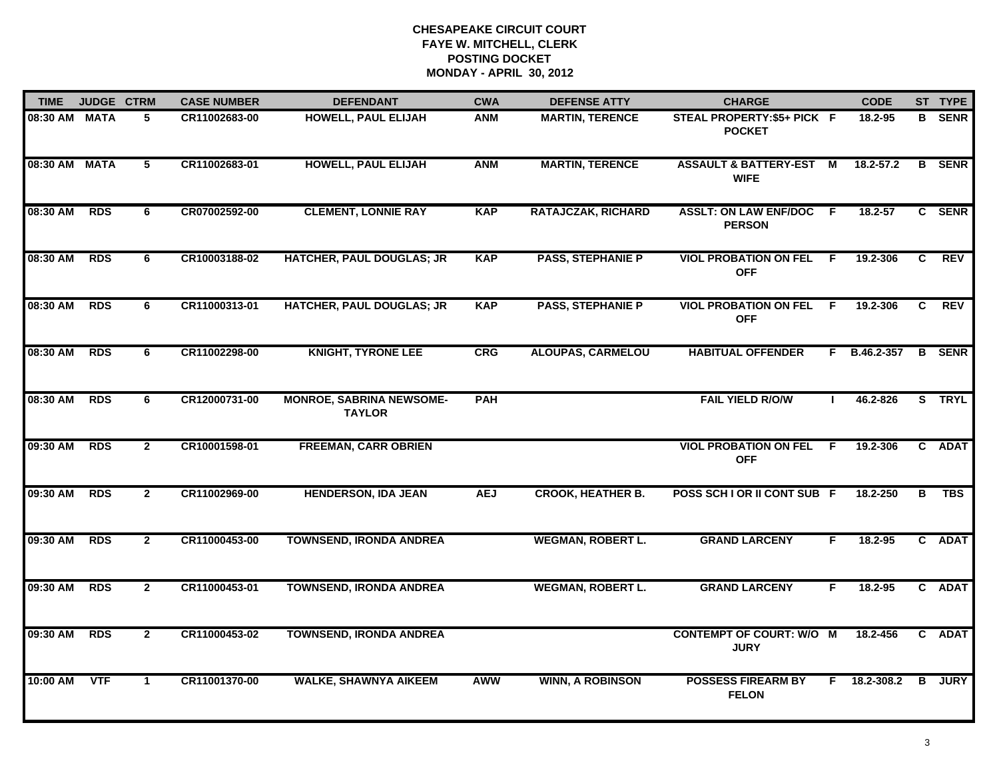| <b>TIME</b>   | JUDGE CTRM  |                | <b>CASE NUMBER</b> | <b>DEFENDANT</b>                                 | <b>CWA</b> | <b>DEFENSE ATTY</b>       | <b>CHARGE</b>                                     |              | <b>CODE</b>  |   | ST TYPE       |
|---------------|-------------|----------------|--------------------|--------------------------------------------------|------------|---------------------------|---------------------------------------------------|--------------|--------------|---|---------------|
| 08:30 AM MATA |             | 5              | CR11002683-00      | <b>HOWELL, PAUL ELIJAH</b>                       | <b>ANM</b> | <b>MARTIN, TERENCE</b>    | STEAL PROPERTY: \$5+ PICK F<br><b>POCKET</b>      |              | 18.2-95      |   | <b>B</b> SENR |
| 08:30 AM      | <b>MATA</b> | 5              | CR11002683-01      | <b>HOWELL, PAUL ELIJAH</b>                       | <b>ANM</b> | <b>MARTIN, TERENCE</b>    | <b>ASSAULT &amp; BATTERY-EST M</b><br><b>WIFE</b> |              | 18.2-57.2    |   | <b>B</b> SENR |
| 08:30 AM      | <b>RDS</b>  | 6              | CR07002592-00      | <b>CLEMENT, LONNIE RAY</b>                       | <b>KAP</b> | <b>RATAJCZAK, RICHARD</b> | <b>ASSLT: ON LAW ENF/DOC F</b><br><b>PERSON</b>   |              | 18.2-57      |   | C SENR        |
| 08:30 AM      | <b>RDS</b>  | 6              | CR10003188-02      | <b>HATCHER, PAUL DOUGLAS; JR</b>                 | <b>KAP</b> | <b>PASS, STEPHANIE P</b>  | <b>VIOL PROBATION ON FEL F</b><br><b>OFF</b>      |              | 19.2-306     | C | <b>REV</b>    |
| 08:30 AM      | <b>RDS</b>  | 6              | CR11000313-01      | <b>HATCHER, PAUL DOUGLAS; JR</b>                 | <b>KAP</b> | <b>PASS, STEPHANIE P</b>  | <b>VIOL PROBATION ON FEL</b><br><b>OFF</b>        | - F          | 19.2-306     | C | <b>REV</b>    |
| 08:30 AM      | <b>RDS</b>  | 6              | CR11002298-00      | <b>KNIGHT, TYRONE LEE</b>                        | <b>CRG</b> | <b>ALOUPAS, CARMELOU</b>  | <b>HABITUAL OFFENDER</b>                          |              | F B.46.2-357 |   | <b>B</b> SENR |
| 08:30 AM      | <b>RDS</b>  | 6              | CR12000731-00      | <b>MONROE, SABRINA NEWSOME-</b><br><b>TAYLOR</b> | <b>PAH</b> |                           | <b>FAIL YIELD R/O/W</b>                           | $\mathbf{L}$ | 46.2-826     |   | S TRYL        |
| 09:30 AM      | <b>RDS</b>  | $\mathbf{2}$   | CR10001598-01      | <b>FREEMAN, CARR OBRIEN</b>                      |            |                           | <b>VIOL PROBATION ON FEL</b><br><b>OFF</b>        | - F          | 19.2-306     |   | C ADAT        |
| 09:30 AM      | <b>RDS</b>  | $\mathbf{2}$   | CR11002969-00      | <b>HENDERSON, IDA JEAN</b>                       | <b>AEJ</b> | <b>CROOK, HEATHER B.</b>  | POSS SCH I OR II CONT SUB F                       |              | 18.2-250     | в | <b>TBS</b>    |
| 09:30 AM      | <b>RDS</b>  | $\mathbf{2}$   | CR11000453-00      | <b>TOWNSEND, IRONDA ANDREA</b>                   |            | <b>WEGMAN, ROBERT L.</b>  | <b>GRAND LARCENY</b>                              | F.           | 18.2-95      |   | C ADAT        |
| 09:30 AM      | <b>RDS</b>  | $\mathbf{2}$   | CR11000453-01      | <b>TOWNSEND, IRONDA ANDREA</b>                   |            | <b>WEGMAN, ROBERT L.</b>  | <b>GRAND LARCENY</b>                              | F.           | 18.2-95      |   | C ADAT        |
| 09:30 AM      | <b>RDS</b>  | $\overline{2}$ | CR11000453-02      | <b>TOWNSEND, IRONDA ANDREA</b>                   |            |                           | <b>CONTEMPT OF COURT: W/O M</b><br><b>JURY</b>    |              | 18.2-456     |   | C ADAT        |
| 10:00 AM      | <b>VTF</b>  | $\mathbf 1$    | CR11001370-00      | <b>WALKE, SHAWNYA AIKEEM</b>                     | AWW        | <b>WINN, A ROBINSON</b>   | <b>POSSESS FIREARM BY</b><br><b>FELON</b>         |              | F 18.2-308.2 | B | <b>JURY</b>   |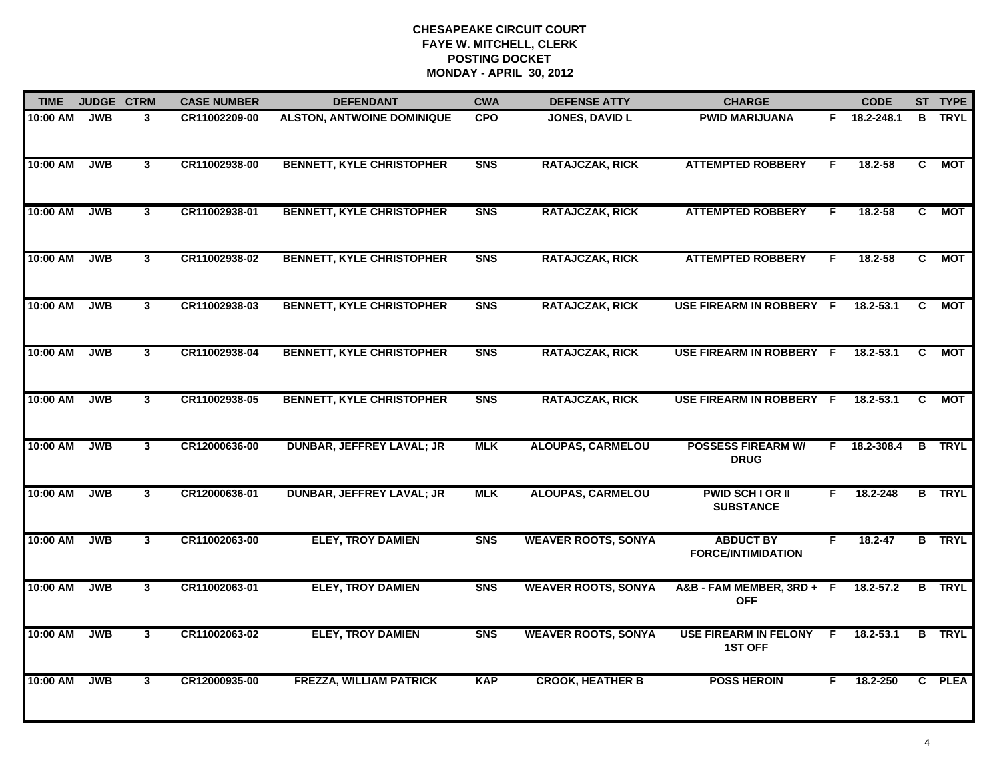| <b>TIME</b> | <b>JUDGE CTRM</b> |              | <b>CASE NUMBER</b> | <b>DEFENDANT</b>                  | <b>CWA</b>     | <b>DEFENSE ATTY</b>        | <b>CHARGE</b>                                  |    | <b>CODE</b>   |                | ST TYPE       |
|-------------|-------------------|--------------|--------------------|-----------------------------------|----------------|----------------------------|------------------------------------------------|----|---------------|----------------|---------------|
| 10:00 AM    | <b>JWB</b>        | 3            | CR11002209-00      | <b>ALSTON, ANTWOINE DOMINIQUE</b> | <b>CPO</b>     | <b>JONES, DAVID L</b>      | <b>PWID MARIJUANA</b>                          |    | F 18.2-248.1  | B              | <b>TRYL</b>   |
| 10:00 AM    | <b>JWB</b>        | $\mathbf{3}$ | CR11002938-00      | <b>BENNETT, KYLE CHRISTOPHER</b>  | <b>SNS</b>     | <b>RATAJCZAK, RICK</b>     | <b>ATTEMPTED ROBBERY</b>                       | F. | 18.2-58       | C.             | МОТ           |
| 10:00 AM    | <b>JWB</b>        | $\mathbf{3}$ | CR11002938-01      | <b>BENNETT, KYLE CHRISTOPHER</b>  | <b>SNS</b>     | <b>RATAJCZAK, RICK</b>     | <b>ATTEMPTED ROBBERY</b>                       | F  | 18.2-58       | $\overline{c}$ | <b>MOT</b>    |
| 10:00 AM    | <b>JWB</b>        | $\mathbf{3}$ | CR11002938-02      | <b>BENNETT, KYLE CHRISTOPHER</b>  | <b>SNS</b>     | <b>RATAJCZAK, RICK</b>     | <b>ATTEMPTED ROBBERY</b>                       | F. | $18.2 - 58$   | C.             | <b>MOT</b>    |
| 10:00 AM    | <b>JWB</b>        | 3            | CR11002938-03      | <b>BENNETT, KYLE CHRISTOPHER</b>  | <b>SNS</b>     | <b>RATAJCZAK, RICK</b>     | USE FIREARM IN ROBBERY F                       |    | $18.2 - 53.1$ | C.             | <b>MOT</b>    |
| 10:00 AM    | <b>JWB</b>        | $\mathbf{3}$ | CR11002938-04      | <b>BENNETT, KYLE CHRISTOPHER</b>  | <b>SNS</b>     | <b>RATAJCZAK, RICK</b>     | USE FIREARM IN ROBBERY F                       |    | 18.2-53.1     | C              | <b>MOT</b>    |
| 10:00 AM    | <b>JWB</b>        | $\mathbf{3}$ | CR11002938-05      | <b>BENNETT, KYLE CHRISTOPHER</b>  | <b>SNS</b>     | <b>RATAJCZAK, RICK</b>     | USE FIREARM IN ROBBERY F                       |    | 18.2-53.1     | C              | <b>MOT</b>    |
| 10:00 AM    | <b>JWB</b>        | $\mathbf{3}$ | CR12000636-00      | <b>DUNBAR, JEFFREY LAVAL; JR</b>  | <b>MLK</b>     | <b>ALOUPAS, CARMELOU</b>   | <b>POSSESS FIREARM W/</b><br><b>DRUG</b>       | F. | 18.2-308.4    |                | <b>B</b> TRYL |
| 10:00 AM    | <b>JWB</b>        | 3            | CR12000636-01      | <b>DUNBAR, JEFFREY LAVAL; JR</b>  | <b>MLK</b>     | <b>ALOUPAS, CARMELOU</b>   | <b>PWID SCH I OR II</b><br><b>SUBSTANCE</b>    | F  | 18.2-248      |                | <b>B</b> TRYL |
| 10:00 AM    | <b>JWB</b>        | $\mathbf{3}$ | CR11002063-00      | <b>ELEY, TROY DAMIEN</b>          | <b>SNS</b>     | <b>WEAVER ROOTS, SONYA</b> | <b>ABDUCT BY</b><br><b>FORCE/INTIMIDATION</b>  | F. | $18.2 - 47$   |                | <b>B</b> TRYL |
| 10:00 AM    | <b>JWB</b>        | $\mathbf{3}$ | CR11002063-01      | <b>ELEY, TROY DAMIEN</b>          | S <sub>N</sub> | <b>WEAVER ROOTS, SONYA</b> | A&B-FAM MEMBER, 3RD+ F<br><b>OFF</b>           |    | 18.2-57.2     | B              | <b>TRYL</b>   |
| 10:00 AM    | <b>JWB</b>        | $\mathbf{3}$ | CR11002063-02      | <b>ELEY, TROY DAMIEN</b>          | <b>SNS</b>     | <b>WEAVER ROOTS, SONYA</b> | <b>USE FIREARM IN FELONY</b><br><b>1ST OFF</b> | F. | $18.2 - 53.1$ |                | <b>B</b> TRYL |
| 10:00 AM    | <b>JWB</b>        | 3            | CR12000935-00      | <b>FREZZA, WILLIAM PATRICK</b>    | <b>KAP</b>     | <b>CROOK, HEATHER B</b>    | <b>POSS HEROIN</b>                             | F. | 18.2-250      |                | C PLEA        |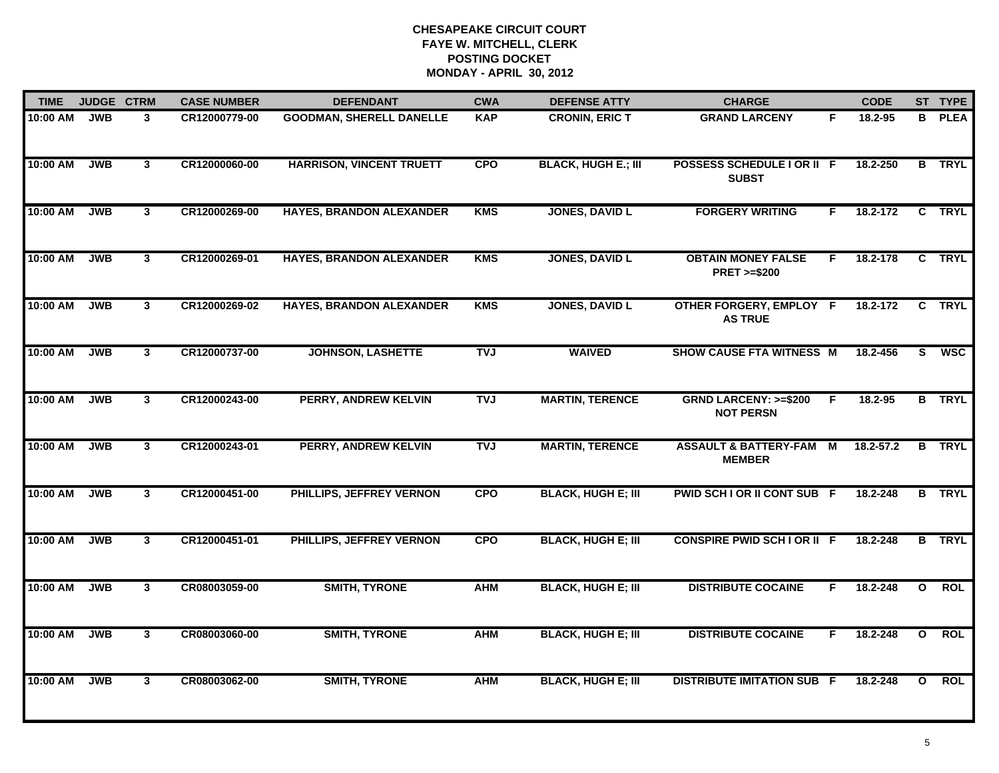| <b>TIME</b> | <b>JUDGE CTRM</b> |                | <b>CASE NUMBER</b> | <b>DEFENDANT</b>                | <b>CWA</b> | <b>DEFENSE ATTY</b>        | <b>CHARGE</b>                                       |    | <b>CODE</b> |                         | ST TYPE       |
|-------------|-------------------|----------------|--------------------|---------------------------------|------------|----------------------------|-----------------------------------------------------|----|-------------|-------------------------|---------------|
| 10:00 AM    | <b>JWB</b>        | 3              | CR12000779-00      | <b>GOODMAN, SHERELL DANELLE</b> | <b>KAP</b> | <b>CRONIN, ERIC T</b>      | <b>GRAND LARCENY</b>                                | F. | 18.2-95     |                         | <b>B</b> PLEA |
| 10:00 AM    | <b>JWB</b>        | $\mathbf{3}$   | CR12000060-00      | <b>HARRISON, VINCENT TRUETT</b> | <b>CPO</b> | <b>BLACK, HUGH E.; III</b> | POSSESS SCHEDULE I OR II F<br><b>SUBST</b>          |    | 18.2-250    |                         | <b>B</b> TRYL |
| 10:00 AM    | <b>JWB</b>        | $\mathbf{3}$   | CR12000269-00      | <b>HAYES, BRANDON ALEXANDER</b> | <b>KMS</b> | <b>JONES, DAVID L</b>      | <b>FORGERY WRITING</b>                              | F. | 18.2-172    |                         | C TRYL        |
| 10:00 AM    | <b>JWB</b>        | $\mathbf{3}$   | CR12000269-01      | <b>HAYES, BRANDON ALEXANDER</b> | <b>KMS</b> | <b>JONES, DAVID L</b>      | <b>OBTAIN MONEY FALSE</b><br><b>PRET &gt;=\$200</b> | F. | 18.2-178    |                         | C TRYL        |
| 10:00 AM    | <b>JWB</b>        | $\mathbf{3}$   | CR12000269-02      | <b>HAYES, BRANDON ALEXANDER</b> | <b>KMS</b> | <b>JONES, DAVID L</b>      | OTHER FORGERY, EMPLOY F<br><b>AS TRUE</b>           |    | 18.2-172    |                         | C TRYL        |
| 10:00 AM    | <b>JWB</b>        | $\mathbf{3}$   | CR12000737-00      | <b>JOHNSON, LASHETTE</b>        | <b>TVJ</b> | <b>WAIVED</b>              | SHOW CAUSE FTA WITNESS M                            |    | 18.2-456    | S.                      | <b>WSC</b>    |
| 10:00 AM    | <b>JWB</b>        | $\overline{3}$ | CR12000243-00      | PERRY, ANDREW KELVIN            | <b>TVJ</b> | <b>MARTIN, TERENCE</b>     | <b>GRND LARCENY: &gt;=\$200</b><br><b>NOT PERSN</b> | F  | $18.2 - 95$ |                         | <b>B</b> TRYL |
| 10:00 AM    | <b>JWB</b>        | 3 <sup>1</sup> | CR12000243-01      | PERRY, ANDREW KELVIN            | <b>TVJ</b> | <b>MARTIN, TERENCE</b>     | <b>ASSAULT &amp; BATTERY-FAM M</b><br><b>MEMBER</b> |    | 18.2-57.2   |                         | <b>B</b> TRYL |
| 10:00 AM    | <b>JWB</b>        | 3              | CR12000451-00      | PHILLIPS, JEFFREY VERNON        | <b>CPO</b> | <b>BLACK, HUGH E; III</b>  | PWID SCH I OR II CONT SUB F                         |    | 18.2-248    |                         | <b>B</b> TRYL |
| 10:00 AM    | <b>JWB</b>        | $\mathbf{3}$   | CR12000451-01      | PHILLIPS, JEFFREY VERNON        | <b>CPO</b> | <b>BLACK, HUGH E; III</b>  | <b>CONSPIRE PWID SCH I OR II F</b>                  |    | 18.2-248    |                         | <b>B</b> TRYL |
| 10:00 AM    | <b>JWB</b>        | 3 <sup>1</sup> | CR08003059-00      | <b>SMITH, TYRONE</b>            | <b>AHM</b> | <b>BLACK, HUGH E; III</b>  | <b>DISTRIBUTE COCAINE</b>                           | F. | 18.2-248    | $\mathbf{o}$            | <b>ROL</b>    |
| 10:00 AM    | <b>JWB</b>        | $\mathbf{3}$   | CR08003060-00      | <b>SMITH, TYRONE</b>            | <b>AHM</b> | <b>BLACK, HUGH E; III</b>  | <b>DISTRIBUTE COCAINE</b>                           | F. | 18.2-248    | $\overline{\mathbf{o}}$ | <b>ROL</b>    |
| 10:00 AM    | <b>JWB</b>        | 3              | CR08003062-00      | <b>SMITH, TYRONE</b>            | <b>AHM</b> | <b>BLACK, HUGH E; III</b>  | <b>DISTRIBUTE IMITATION SUB F</b>                   |    | 18.2-248    | $\mathbf{o}$            | <b>ROL</b>    |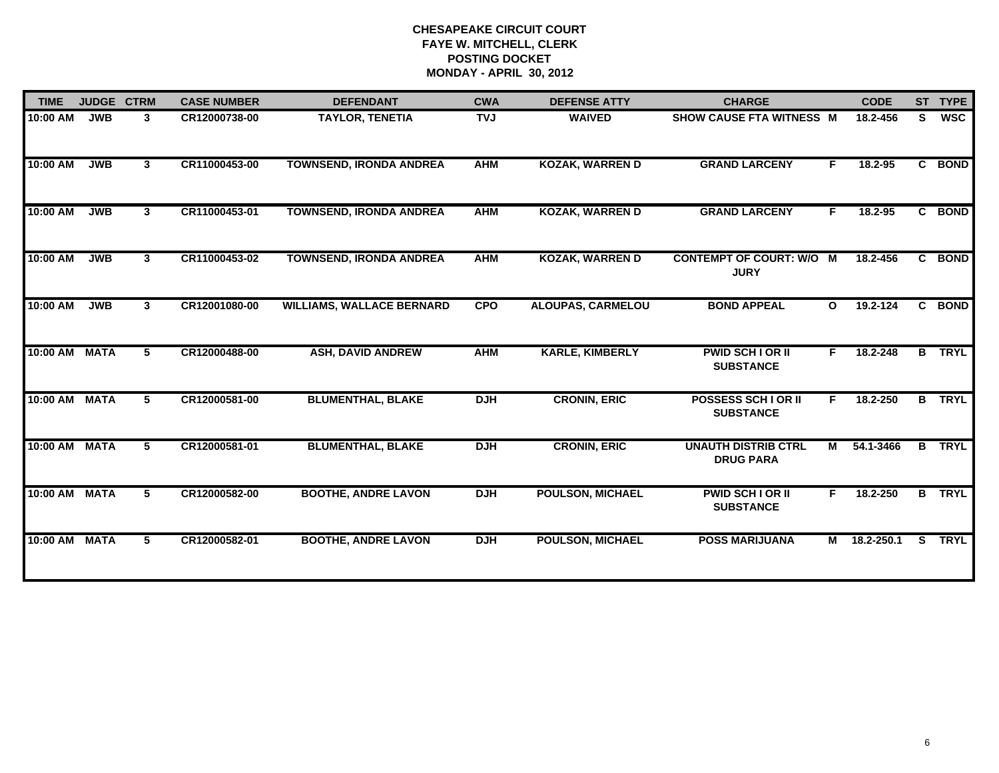| <b>TIME</b>   | <b>JUDGE CTRM</b> |             | <b>CASE NUMBER</b> | <b>DEFENDANT</b>                 | <b>CWA</b> | <b>DEFENSE ATTY</b>      | <b>CHARGE</b>                                  |                                                                                                                                                                                                                                | <b>CODE</b>  |              | ST TYPE       |
|---------------|-------------------|-------------|--------------------|----------------------------------|------------|--------------------------|------------------------------------------------|--------------------------------------------------------------------------------------------------------------------------------------------------------------------------------------------------------------------------------|--------------|--------------|---------------|
| $10:00$ AM    | <b>JWB</b>        | 3           | CR12000738-00      | <b>TAYLOR, TENETIA</b>           | <b>TVJ</b> | <b>WAIVED</b>            | <b>SHOW CAUSE FTA WITNESS M</b>                |                                                                                                                                                                                                                                | 18.2-456     | S.           | <b>WSC</b>    |
| 10:00 AM      | <b>JWB</b>        | $3^{\circ}$ | CR11000453-00      | <b>TOWNSEND, IRONDA ANDREA</b>   | <b>AHM</b> | <b>KOZAK, WARREN D</b>   | <b>GRAND LARCENY</b>                           | F.                                                                                                                                                                                                                             | 18.2-95      |              | C BOND        |
| 10:00 AM      | <b>JWB</b>        | 3           | CR11000453-01      | <b>TOWNSEND, IRONDA ANDREA</b>   | <b>AHM</b> | <b>KOZAK, WARREN D</b>   | <b>GRAND LARCENY</b>                           | F.                                                                                                                                                                                                                             | 18.2-95      |              | C BOND        |
| 10:00 AM      | <b>JWB</b>        | 3           | CR11000453-02      | <b>TOWNSEND, IRONDA ANDREA</b>   | <b>AHM</b> | <b>KOZAK, WARREN D</b>   | <b>CONTEMPT OF COURT: W/O M</b><br><b>JURY</b> |                                                                                                                                                                                                                                | 18.2-456     | C.           | <b>BOND</b>   |
| 10:00 AM      | <b>JWB</b>        | $3^{\circ}$ | CR12001080-00      | <b>WILLIAMS, WALLACE BERNARD</b> | <b>CPO</b> | <b>ALOUPAS, CARMELOU</b> | <b>BOND APPEAL</b>                             | $\mathbf{o}$                                                                                                                                                                                                                   | $19.2 - 124$ | $\mathbf{c}$ | <b>BOND</b>   |
| 10:00 AM      | <b>MATA</b>       | 5           | CR12000488-00      | <b>ASH, DAVID ANDREW</b>         | <b>AHM</b> | <b>KARLE, KIMBERLY</b>   | <b>PWID SCH I OR II</b><br><b>SUBSTANCE</b>    | F.                                                                                                                                                                                                                             | 18.2-248     | B            | <b>TRYL</b>   |
| 10:00 AM MATA |                   | 5           | CR12000581-00      | <b>BLUMENTHAL, BLAKE</b>         | <b>DJH</b> | <b>CRONIN, ERIC</b>      | <b>POSSESS SCHIOR II</b><br><b>SUBSTANCE</b>   | F.                                                                                                                                                                                                                             | 18.2-250     |              | <b>B</b> TRYL |
| 10:00 AM MATA |                   | 5           | CR12000581-01      | <b>BLUMENTHAL, BLAKE</b>         | <b>DJH</b> | <b>CRONIN, ERIC</b>      | <b>UNAUTH DISTRIB CTRL</b><br><b>DRUG PARA</b> | M and the set of the set of the set of the set of the set of the set of the set of the set of the set of the set of the set of the set of the set of the set of the set of the set of the set of the set of the set of the set | 54.1-3466    | B            | <b>TRYL</b>   |
| 10:00 AM MATA |                   | 5           | CR12000582-00      | <b>BOOTHE, ANDRE LAVON</b>       | <b>DJH</b> | <b>POULSON, MICHAEL</b>  | <b>PWID SCH I OR II</b><br><b>SUBSTANCE</b>    | F.                                                                                                                                                                                                                             | 18.2-250     |              | <b>B</b> TRYL |
| 10:00 AM      | <b>MATA</b>       | 5           | CR12000582-01      | <b>BOOTHE, ANDRE LAVON</b>       | <b>DJH</b> | <b>POULSON, MICHAEL</b>  | <b>POSS MARIJUANA</b>                          | M                                                                                                                                                                                                                              | 18.2-250.1   | S.           | <b>TRYL</b>   |